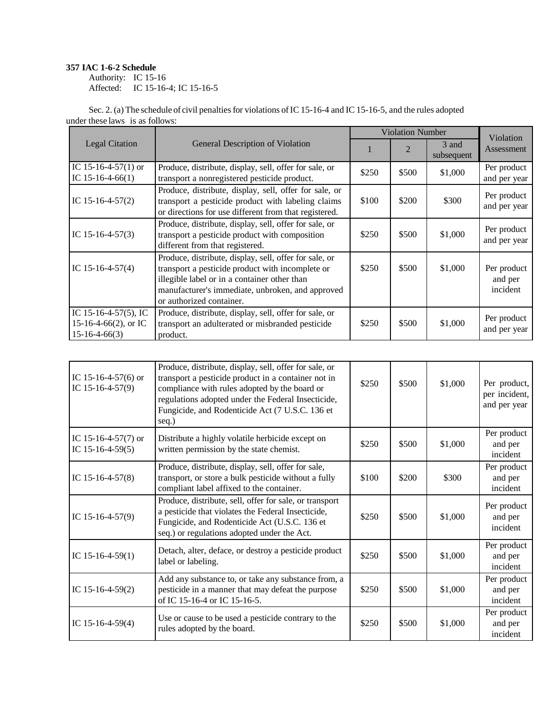## **357 IAC 1-6-2 Schedule**

Authority: IC 15-16 Affected: IC 15-16-4; IC 15-16-5

|                                                                 |                                                                                                                                                                                                                                            |       | <b>Violation Number</b> |                     | Violation                          |
|-----------------------------------------------------------------|--------------------------------------------------------------------------------------------------------------------------------------------------------------------------------------------------------------------------------------------|-------|-------------------------|---------------------|------------------------------------|
| <b>Legal Citation</b>                                           | General Description of Violation                                                                                                                                                                                                           |       | $\overline{2}$          | 3 and<br>subsequent | Assessment                         |
| IC 15-16-4-57(1) or<br>IC $15-16-4-66(1)$                       | Produce, distribute, display, sell, offer for sale, or<br>transport a nonregistered pesticide product.                                                                                                                                     | \$250 | \$500                   | \$1,000             | Per product<br>and per year        |
| IC $15-16-4-57(2)$                                              | Produce, distribute, display, sell, offer for sale, or<br>transport a pesticide product with labeling claims<br>or directions for use different from that registered.                                                                      | \$100 | \$200                   | \$300               | Per product<br>and per year        |
| IC $15-16-4-57(3)$                                              | Produce, distribute, display, sell, offer for sale, or<br>transport a pesticide product with composition<br>different from that registered.                                                                                                | \$250 | \$500                   | \$1,000             | Per product<br>and per year        |
| IC $15-16-4-57(4)$                                              | Produce, distribute, display, sell, offer for sale, or<br>transport a pesticide product with incomplete or<br>illegible label or in a container other than<br>manufacturer's immediate, unbroken, and approved<br>or authorized container. | \$250 | \$500                   | \$1,000             | Per product<br>and per<br>incident |
| IC 15-16-4-57(5), IC<br>15-16-4-66(2), or IC<br>$15-16-4-66(3)$ | Produce, distribute, display, sell, offer for sale, or<br>transport an adulterated or misbranded pesticide<br>product.                                                                                                                     | \$250 | \$500                   | \$1,000             | Per product<br>and per year        |

| IC 15-16-4-57(6) or<br>IC $15-16-4-57(9)$    | Produce, distribute, display, sell, offer for sale, or<br>transport a pesticide product in a container not in<br>compliance with rules adopted by the board or<br>regulations adopted under the Federal Insecticide,<br>Fungicide, and Rodenticide Act (7 U.S.C. 136 et<br>seq.) | \$250 | \$500 | \$1,000 | Per product,<br>per incident,<br>and per year |
|----------------------------------------------|----------------------------------------------------------------------------------------------------------------------------------------------------------------------------------------------------------------------------------------------------------------------------------|-------|-------|---------|-----------------------------------------------|
| IC 15-16-4-57 $(7)$ or<br>IC $15-16-4-59(5)$ | Distribute a highly volatile herbicide except on<br>written permission by the state chemist.                                                                                                                                                                                     | \$250 | \$500 | \$1,000 | Per product<br>and per<br>incident            |
| IC $15-16-4-57(8)$                           | Produce, distribute, display, sell, offer for sale,<br>transport, or store a bulk pesticide without a fully<br>compliant label affixed to the container.                                                                                                                         | \$100 | \$200 | \$300   | Per product<br>and per<br>incident            |
| IC $15-16-4-57(9)$                           | Produce, distribute, sell, offer for sale, or transport<br>a pesticide that violates the Federal Insecticide,<br>Fungicide, and Rodenticide Act (U.S.C. 136 et<br>seq.) or regulations adopted under the Act.                                                                    | \$250 | \$500 | \$1,000 | Per product<br>and per<br>incident            |
| IC $15-16-4-59(1)$                           | Detach, alter, deface, or destroy a pesticide product<br>label or labeling.                                                                                                                                                                                                      | \$250 | \$500 | \$1,000 | Per product<br>and per<br>incident            |
| IC $15-16-4-59(2)$                           | Add any substance to, or take any substance from, a<br>pesticide in a manner that may defeat the purpose<br>of IC 15-16-4 or IC 15-16-5.                                                                                                                                         | \$250 | \$500 | \$1,000 | Per product<br>and per<br>incident            |
| IC $15-16-4-59(4)$                           | Use or cause to be used a pesticide contrary to the<br>rules adopted by the board.                                                                                                                                                                                               | \$250 | \$500 | \$1,000 | Per product<br>and per<br>incident            |

Sec. 2. (a) The schedule of civil penalties for violations of IC 15-16-4 and IC 15-16-5, and the rules adopted under these laws is as follows: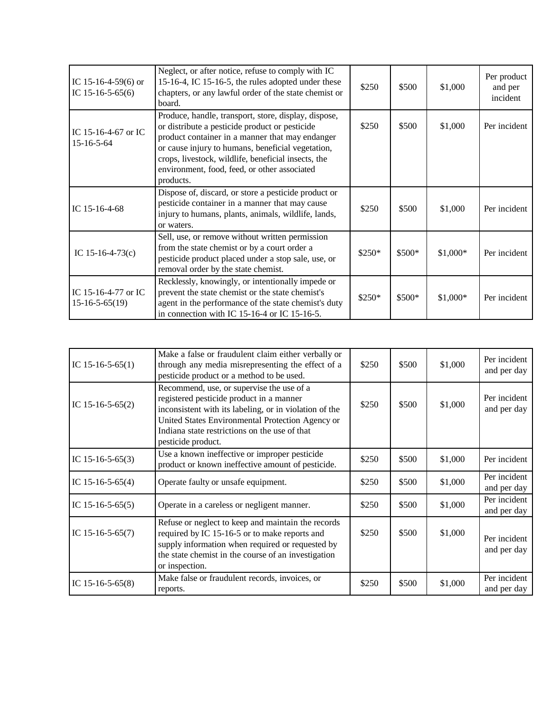| IC 15-16-4-59(6) or<br>IC 15-16-5-65(6)   | Neglect, or after notice, refuse to comply with IC<br>15-16-4, IC 15-16-5, the rules adopted under these<br>chapters, or any lawful order of the state chemist or<br>board.                                                                                                                                                        | \$250   | \$500  | \$1,000   | Per product<br>and per<br>incident |
|-------------------------------------------|------------------------------------------------------------------------------------------------------------------------------------------------------------------------------------------------------------------------------------------------------------------------------------------------------------------------------------|---------|--------|-----------|------------------------------------|
| IC 15-16-4-67 or IC<br>$15 - 16 - 5 - 64$ | Produce, handle, transport, store, display, dispose,<br>or distribute a pesticide product or pesticide<br>product container in a manner that may endanger<br>or cause injury to humans, beneficial vegetation,<br>crops, livestock, wildlife, beneficial insects, the<br>environment, food, feed, or other associated<br>products. | \$250   | \$500  | \$1,000   | Per incident                       |
| IC $15-16-4-68$                           | Dispose of, discard, or store a pesticide product or<br>pesticide container in a manner that may cause<br>injury to humans, plants, animals, wildlife, lands,<br>or waters.                                                                                                                                                        | \$250   | \$500  | \$1,000   | Per incident                       |
| IC $15-16-4-73(c)$                        | Sell, use, or remove without written permission<br>from the state chemist or by a court order a<br>pesticide product placed under a stop sale, use, or<br>removal order by the state chemist.                                                                                                                                      | $$250*$ | \$500* | $$1,000*$ | Per incident                       |
| IC 15-16-4-77 or IC<br>$15-16-5-65(19)$   | Recklessly, knowingly, or intentionally impede or<br>prevent the state chemist or the state chemist's<br>agent in the performance of the state chemist's duty<br>in connection with IC 15-16-4 or IC 15-16-5.                                                                                                                      | \$250*  | \$500* | $$1,000*$ | Per incident                       |

| IC $15-16-5-65(1)$ | Make a false or fraudulent claim either verbally or<br>through any media misrepresenting the effect of a<br>pesticide product or a method to be used.                                                                                                                      | \$250 | \$500 | \$1,000 | Per incident<br>and per day |
|--------------------|----------------------------------------------------------------------------------------------------------------------------------------------------------------------------------------------------------------------------------------------------------------------------|-------|-------|---------|-----------------------------|
| IC $15-16-5-65(2)$ | Recommend, use, or supervise the use of a<br>registered pesticide product in a manner<br>inconsistent with its labeling, or in violation of the<br>United States Environmental Protection Agency or<br>Indiana state restrictions on the use of that<br>pesticide product. | \$250 | \$500 | \$1,000 | Per incident<br>and per day |
| IC $15-16-5-65(3)$ | Use a known ineffective or improper pesticide<br>product or known ineffective amount of pesticide.                                                                                                                                                                         | \$250 | \$500 | \$1,000 | Per incident                |
| IC $15-16-5-65(4)$ | Operate faulty or unsafe equipment.                                                                                                                                                                                                                                        | \$250 | \$500 | \$1,000 | Per incident<br>and per day |
| IC 15-16-5-65(5)   | Operate in a careless or negligent manner.                                                                                                                                                                                                                                 | \$250 | \$500 | \$1,000 | Per incident<br>and per day |
| IC $15-16-5-65(7)$ | Refuse or neglect to keep and maintain the records<br>required by IC 15-16-5 or to make reports and<br>supply information when required or requested by<br>the state chemist in the course of an investigation<br>or inspection.                                           | \$250 | \$500 | \$1,000 | Per incident<br>and per day |
| IC $15-16-5-65(8)$ | Make false or fraudulent records, invoices, or<br>reports.                                                                                                                                                                                                                 | \$250 | \$500 | \$1,000 | Per incident<br>and per day |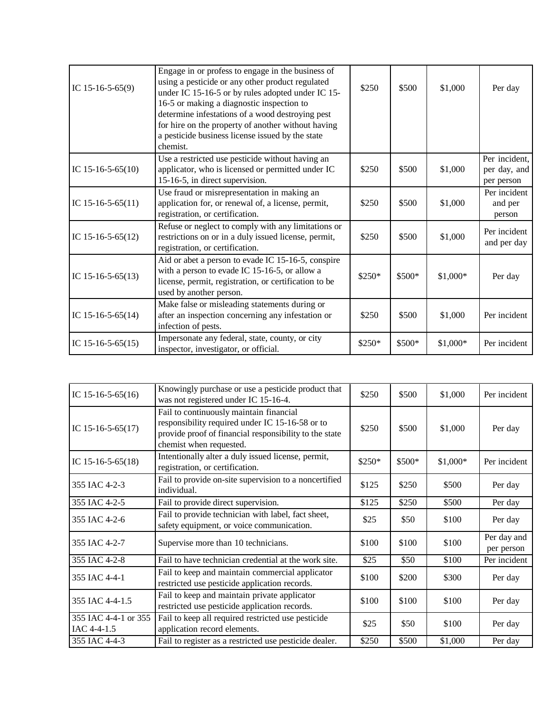| IC $15-16-5-65(9)$  | Engage in or profess to engage in the business of<br>using a pesticide or any other product regulated<br>under IC 15-16-5 or by rules adopted under IC 15-<br>16-5 or making a diagnostic inspection to<br>determine infestations of a wood destroying pest<br>for hire on the property of another without having<br>a pesticide business license issued by the state<br>chemist. | \$250   | \$500  | \$1,000   | Per day                                     |
|---------------------|-----------------------------------------------------------------------------------------------------------------------------------------------------------------------------------------------------------------------------------------------------------------------------------------------------------------------------------------------------------------------------------|---------|--------|-----------|---------------------------------------------|
| IC $15-16-5-65(10)$ | Use a restricted use pesticide without having an<br>applicator, who is licensed or permitted under IC<br>15-16-5, in direct supervision.                                                                                                                                                                                                                                          | \$250   | \$500  | \$1,000   | Per incident,<br>per day, and<br>per person |
| IC $15-16-5-65(11)$ | Use fraud or misrepresentation in making an<br>application for, or renewal of, a license, permit,<br>registration, or certification.                                                                                                                                                                                                                                              | \$250   | \$500  | \$1,000   | Per incident<br>and per<br>person           |
| IC $15-16-5-65(12)$ | Refuse or neglect to comply with any limitations or<br>restrictions on or in a duly issued license, permit,<br>registration, or certification.                                                                                                                                                                                                                                    | \$250   | \$500  | \$1,000   | Per incident<br>and per day                 |
| IC $15-16-5-65(13)$ | Aid or abet a person to evade IC 15-16-5, conspire<br>with a person to evade IC 15-16-5, or allow a<br>license, permit, registration, or certification to be<br>used by another person.                                                                                                                                                                                           | $$250*$ | \$500* | $$1,000*$ | Per day                                     |
| IC $15-16-5-65(14)$ | Make false or misleading statements during or<br>after an inspection concerning any infestation or<br>infection of pests.                                                                                                                                                                                                                                                         | \$250   | \$500  | \$1,000   | Per incident                                |
| IC $15-16-5-65(15)$ | Impersonate any federal, state, county, or city<br>inspector, investigator, or official.                                                                                                                                                                                                                                                                                          | $$250*$ | \$500* | \$1,000*  | Per incident                                |

| IC 15-16-5-65(16)                   | Knowingly purchase or use a pesticide product that<br>was not registered under IC 15-16-4.                                                                                      | \$250   | \$500  | \$1,000   | Per incident              |
|-------------------------------------|---------------------------------------------------------------------------------------------------------------------------------------------------------------------------------|---------|--------|-----------|---------------------------|
| IC 15-16-5-65(17)                   | Fail to continuously maintain financial<br>responsibility required under IC 15-16-58 or to<br>provide proof of financial responsibility to the state<br>chemist when requested. | \$250   | \$500  | \$1,000   | Per day                   |
| IC $15-16-5-65(18)$                 | Intentionally alter a duly issued license, permit,<br>registration, or certification.                                                                                           | $$250*$ | \$500* | $$1,000*$ | Per incident              |
| 355 IAC 4-2-3                       | Fail to provide on-site supervision to a noncertified<br>individual.                                                                                                            | \$125   | \$250  | \$500     | Per day                   |
| 355 IAC 4-2-5                       | Fail to provide direct supervision.                                                                                                                                             | \$125   | \$250  | \$500     | Per day                   |
| 355 IAC 4-2-6                       | Fail to provide technician with label, fact sheet,<br>safety equipment, or voice communication.                                                                                 | \$25    | \$50   | \$100     | Per day                   |
| 355 IAC 4-2-7                       | Supervise more than 10 technicians.                                                                                                                                             | \$100   | \$100  | \$100     | Per day and<br>per person |
| 355 IAC 4-2-8                       | Fail to have technician credential at the work site.                                                                                                                            | \$25    | \$50   | \$100     | Per incident              |
| 355 IAC 4-4-1                       | Fail to keep and maintain commercial applicator<br>restricted use pesticide application records.                                                                                | \$100   | \$200  | \$300     | Per day                   |
| 355 IAC 4-4-1.5                     | Fail to keep and maintain private applicator<br>restricted use pesticide application records.                                                                                   | \$100   | \$100  | \$100     | Per day                   |
| 355 IAC 4-4-1 or 355<br>IAC 4-4-1.5 | Fail to keep all required restricted use pesticide<br>application record elements.                                                                                              | \$25    | \$50   | \$100     | Per day                   |
| 355 IAC 4-4-3                       | Fail to register as a restricted use pesticide dealer.                                                                                                                          | \$250   | \$500  | \$1,000   | Per day                   |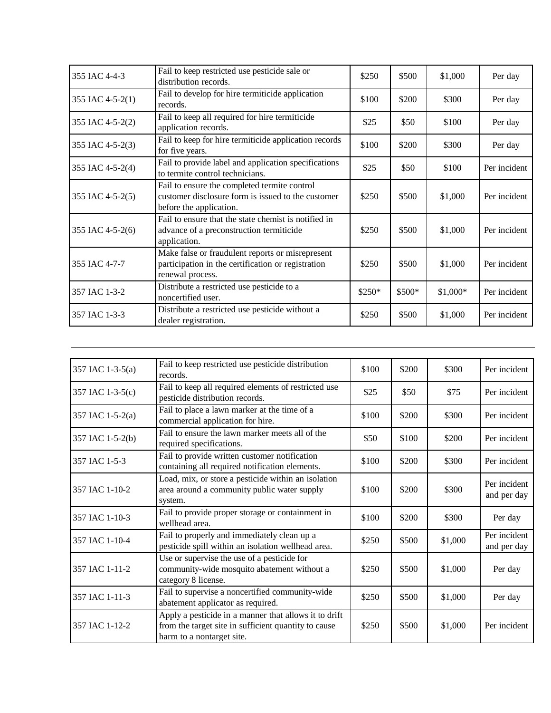| 355 IAC 4-4-3    | Fail to keep restricted use pesticide sale or<br>distribution records.                                                        | \$250   | \$500  | \$1,000   | Per day      |
|------------------|-------------------------------------------------------------------------------------------------------------------------------|---------|--------|-----------|--------------|
| 355 IAC 4-5-2(1) | Fail to develop for hire termiticide application<br>records.                                                                  | \$100   | \$200  | \$300     | Per day      |
| 355 IAC 4-5-2(2) | Fail to keep all required for hire termiticide<br>application records.                                                        | \$25    | \$50   | \$100     | Per day      |
| 355 IAC 4-5-2(3) | Fail to keep for hire termiticide application records<br>for five years.                                                      | \$100   | \$200  | \$300     | Per day      |
| 355 IAC 4-5-2(4) | Fail to provide label and application specifications<br>to termite control technicians.                                       | \$25    | \$50   | \$100     | Per incident |
| 355 IAC 4-5-2(5) | Fail to ensure the completed termite control<br>customer disclosure form is issued to the customer<br>before the application. | \$250   | \$500  | \$1,000   | Per incident |
| 355 IAC 4-5-2(6) | Fail to ensure that the state chemist is notified in<br>advance of a preconstruction termiticide<br>application.              | \$250   | \$500  | \$1,000   | Per incident |
| 355 IAC 4-7-7    | Make false or fraudulent reports or misrepresent<br>participation in the certification or registration<br>renewal process.    | \$250   | \$500  | \$1,000   | Per incident |
| 357 IAC 1-3-2    | Distribute a restricted use pesticide to a<br>noncertified user.                                                              | $$250*$ | \$500* | $$1,000*$ | Per incident |
| 357 IAC 1-3-3    | Distribute a restricted use pesticide without a<br>dealer registration.                                                       | \$250   | \$500  | \$1,000   | Per incident |

| 357 IAC 1-3-5(a) | Fail to keep restricted use pesticide distribution<br>records.                                                                             | \$100 | \$200 | \$300   | Per incident                |
|------------------|--------------------------------------------------------------------------------------------------------------------------------------------|-------|-------|---------|-----------------------------|
| 357 IAC 1-3-5(c) | Fail to keep all required elements of restricted use<br>pesticide distribution records.                                                    | \$25  | \$50  | \$75    | Per incident                |
| 357 IAC 1-5-2(a) | Fail to place a lawn marker at the time of a<br>commercial application for hire.                                                           | \$100 | \$200 | \$300   | Per incident                |
| 357 IAC 1-5-2(b) | Fail to ensure the lawn marker meets all of the<br>required specifications.                                                                | \$50  | \$100 | \$200   | Per incident                |
| 357 IAC 1-5-3    | Fail to provide written customer notification<br>containing all required notification elements.                                            | \$100 | \$200 | \$300   | Per incident                |
| 357 IAC 1-10-2   | Load, mix, or store a pesticide within an isolation<br>area around a community public water supply<br>system.                              | \$100 | \$200 | \$300   | Per incident<br>and per day |
| 357 IAC 1-10-3   | Fail to provide proper storage or containment in<br>wellhead area.                                                                         | \$100 | \$200 | \$300   | Per day                     |
| 357 IAC 1-10-4   | Fail to properly and immediately clean up a<br>pesticide spill within an isolation wellhead area.                                          | \$250 | \$500 | \$1,000 | Per incident<br>and per day |
| 357 IAC 1-11-2   | Use or supervise the use of a pesticide for<br>community-wide mosquito abatement without a<br>category 8 license.                          | \$250 | \$500 | \$1,000 | Per day                     |
| 357 IAC 1-11-3   | Fail to supervise a noncertified community-wide<br>abatement applicator as required.                                                       | \$250 | \$500 | \$1,000 | Per day                     |
| 357 IAC 1-12-2   | Apply a pesticide in a manner that allows it to drift<br>from the target site in sufficient quantity to cause<br>harm to a nontarget site. | \$250 | \$500 | \$1,000 | Per incident                |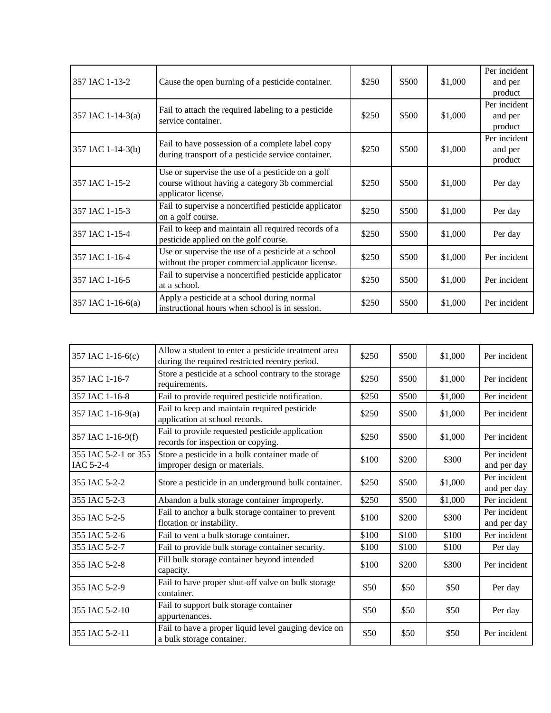|                   |                                                       |       |       |         | Per incident |
|-------------------|-------------------------------------------------------|-------|-------|---------|--------------|
| 357 IAC 1-13-2    | Cause the open burning of a pesticide container.      | \$250 | \$500 | \$1,000 | and per      |
|                   |                                                       |       |       |         | product      |
|                   | Fail to attach the required labeling to a pesticide   |       |       |         | Per incident |
| 357 IAC 1-14-3(a) | service container.                                    | \$250 | \$500 | \$1,000 | and per      |
|                   |                                                       |       |       |         | product      |
|                   | Fail to have possession of a complete label copy      |       |       |         | Per incident |
| 357 IAC 1-14-3(b) | during transport of a pesticide service container.    | \$250 | \$500 | \$1,000 | and per      |
|                   |                                                       |       |       |         | product      |
|                   | Use or supervise the use of a pesticide on a golf     |       |       |         |              |
| 357 IAC 1-15-2    | course without having a category 3b commercial        | \$250 | \$500 | \$1,000 | Per day      |
|                   | applicator license.                                   |       |       |         |              |
| 357 IAC 1-15-3    | Fail to supervise a noncertified pesticide applicator | \$250 | \$500 | \$1,000 | Per day      |
|                   | on a golf course.                                     |       |       |         |              |
| 357 IAC 1-15-4    | Fail to keep and maintain all required records of a   | \$250 | \$500 | \$1,000 | Per day      |
|                   | pesticide applied on the golf course.                 |       |       |         |              |
| 357 IAC 1-16-4    | Use or supervise the use of a pesticide at a school   | \$250 | \$500 | \$1,000 | Per incident |
|                   | without the proper commercial applicator license.     |       |       |         |              |
| 357 IAC 1-16-5    | Fail to supervise a noncertified pesticide applicator | \$250 | \$500 | \$1,000 | Per incident |
|                   | at a school.                                          |       |       |         |              |
| 357 IAC 1-16-6(a) | Apply a pesticide at a school during normal           | \$250 | \$500 | \$1,000 | Per incident |
|                   | instructional hours when school is in session.        |       |       |         |              |

| 357 IAC 1-16-6(c)                 | Allow a student to enter a pesticide treatment area<br>during the required restricted reentry period. | \$250 | \$500 | \$1,000 | Per incident                |
|-----------------------------------|-------------------------------------------------------------------------------------------------------|-------|-------|---------|-----------------------------|
| 357 IAC 1-16-7                    | Store a pesticide at a school contrary to the storage<br>requirements.                                | \$250 | \$500 | \$1,000 | Per incident                |
| 357 IAC 1-16-8                    | Fail to provide required pesticide notification.                                                      | \$250 | \$500 | \$1,000 | Per incident                |
| 357 IAC 1-16-9(a)                 | Fail to keep and maintain required pesticide<br>application at school records.                        | \$250 | \$500 | \$1,000 | Per incident                |
| 357 IAC 1-16-9(f)                 | Fail to provide requested pesticide application<br>records for inspection or copying.                 | \$250 | \$500 | \$1,000 | Per incident                |
| 355 IAC 5-2-1 or 355<br>IAC 5-2-4 | Store a pesticide in a bulk container made of<br>improper design or materials.                        | \$100 | \$200 | \$300   | Per incident<br>and per day |
| 355 IAC 5-2-2                     | Store a pesticide in an underground bulk container.                                                   | \$250 | \$500 | \$1,000 | Per incident<br>and per day |
| 355 IAC 5-2-3                     | Abandon a bulk storage container improperly.                                                          | \$250 | \$500 | \$1,000 | Per incident                |
| 355 IAC 5-2-5                     | Fail to anchor a bulk storage container to prevent<br>flotation or instability.                       | \$100 | \$200 | \$300   | Per incident<br>and per day |
| 355 IAC 5-2-6                     | Fail to vent a bulk storage container.                                                                | \$100 | \$100 | \$100   | Per incident                |
| 355 IAC 5-2-7                     | Fail to provide bulk storage container security.                                                      | \$100 | \$100 | \$100   | Per day                     |
| 355 IAC 5-2-8                     | Fill bulk storage container beyond intended<br>capacity.                                              | \$100 | \$200 | \$300   | Per incident                |
| 355 IAC 5-2-9                     | Fail to have proper shut-off valve on bulk storage<br>container.                                      | \$50  | \$50  | \$50    | Per day                     |
| 355 IAC 5-2-10                    | Fail to support bulk storage container<br>appurtenances.                                              | \$50  | \$50  | \$50    | Per day                     |
| 355 IAC 5-2-11                    | Fail to have a proper liquid level gauging device on<br>a bulk storage container.                     | \$50  | \$50  | \$50    | Per incident                |